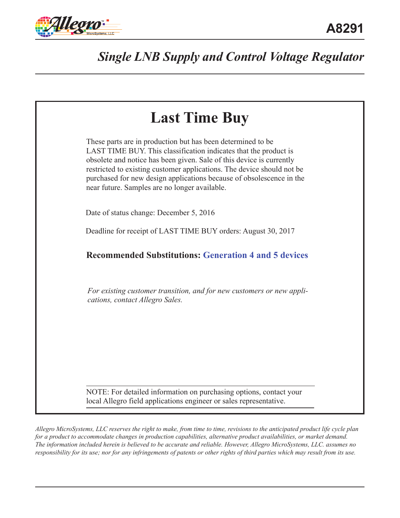



*Allegro MicroSystems, LLC reserves the right to make, from time to time, revisions to the anticipated product life cycle plan*  for a product to accommodate changes in production capabilities, alternative product availabilities, or market demand. *The information included herein is believed to be accurate and reliable. However, Allegro MicroSystems, LLC. assumes no responsibility for its use; nor for any infringements of patents or other rights of third parties which may result from its use.*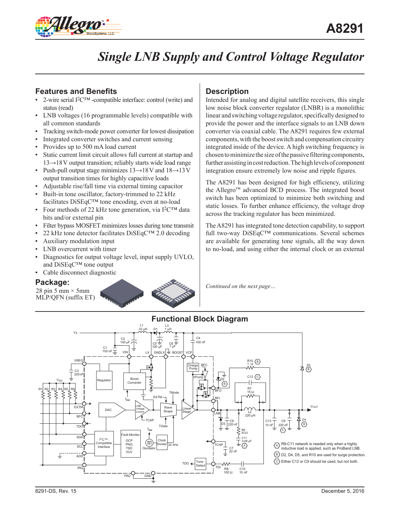

## **Features and Benefits**

- 2-wire serial I<sup>2</sup>C<sup>™</sup> -compatible interface: control (write) and status (read)
- ▪ LNB voltages (16 programmable levels) compatible with all common standards
- Tracking switch-mode power converter for lowest dissipation
- **•** Integrated converter switches and current sensing
- Provides up to 500 mA load current
- Static current limit circuit allows full current at startup and 13*→*18V output transition; reliably starts wide load range
- Push-pull output stage minimizes 13→18V and 18→13V output transition times for highly capacitive loads
- Adjustable rise/fall time via external timing capacitor
- **•** Built-in tone oscillator, factory-trimmed to 22 kHz facilitates DiSEqC™ tone encoding, even at no-load
- Four methods of 22 kHz tone generation, via  $I^2C^{TM}$  data bits and/or external pin
- Filter bypass MOSFET minimizes losses during tone transmit
- 22 kHz tone detector facilitates DiSEqC™ 2.0 decoding
- Auxiliary modulation input
- LNB overcurrent with timer
- Diagnostics for output voltage level, input supply UVLO, and DiSEqC™ tone output
- Cable disconnect diagnostic

### **Package:**

28 pin 5 mm  $\times$  5 mm MLP/QFN (suffix ET)



## **Description**

Intended for analog and digital satellite receivers, this single low noise block converter regulator (LNBR) is a monolithic linear and switching voltage regulator, specifically designed to provide the power and the interface signals to an LNB down converter via coaxial cable. The A8291 requires few external components, with the boost switch and compensation circuitry integrated inside of the device. A high switching frequency is chosen to minimize the size of the passive filtering components, further assisting in cost reduction. The high levels of component integration ensure extremely low noise and ripple figures.

The A8291 has been designed for high efficiency, utilizing the Allegro™ advanced BCD process. The integrated boost switch has been optimized to minimize both switching and static losses. To further enhance efficiency, the voltage drop across the tracking regulator has been minimized.

The A8291 has integrated tone detection capability, to support full two-way DiSEqC™ communications. Several schemes are available for generating tone signals, all the way down to no-load, and using either the internal clock or an external

*Continued on the next page…*



## **Functional Block Diagram**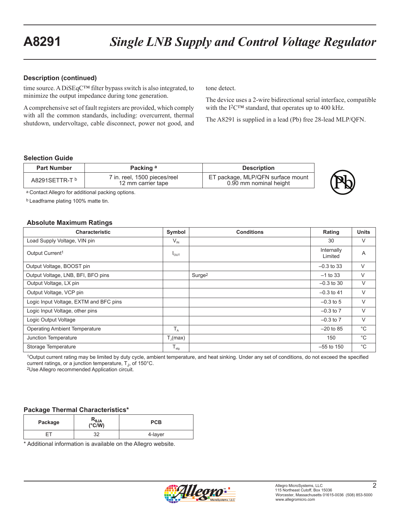#### **Description (continued)**

time source. A DiSEqC™ filter bypass switch is also integrated, to minimize the output impedance during tone generation.

A comprehensive set of fault registers are provided, which comply with all the common standards, including: overcurrent, thermal shutdown, undervoltage, cable disconnect, power not good, and tone detect.

The device uses a 2-wire bidirectional serial interface, compatible with the I<sup>2</sup>C™ standard, that operates up to 400 kHz.

The A8291 is supplied in a lead (Pb) free 28-lead MLP/QFN.

#### **Selection Guide**

| <b>Part Number</b>        | Packing a                                          | <b>Description</b>                                          |
|---------------------------|----------------------------------------------------|-------------------------------------------------------------|
| A8291SETTR-T <sup>b</sup> | 7 in. reel, 1500 pieces/reel<br>12 mm carrier tape | ET package, MLP/QFN surface mount<br>0.90 mm nominal height |



a Contact Allegro for additional packing options.

b Leadframe plating 100% matte tin.

#### **Absolute Maximum Ratings**

| <b>Characteristic</b>                  | Symbol               | <b>Conditions</b>  | Rating                | <b>Units</b> |
|----------------------------------------|----------------------|--------------------|-----------------------|--------------|
| Load Supply Voltage, VIN pin           | $V_{\text{IN}}$      |                    | 30                    | V            |
| Output Current <sup>1</sup>            | $I_{OUT}$            |                    | Internally<br>Limited | A            |
| Output Voltage, BOOST pin              |                      |                    | $-0.3$ to 33          | V            |
| Output Voltage, LNB, BFI, BFO pins     |                      | Surge <sup>2</sup> | $-1$ to 33            | V            |
| Output Voltage, LX pin                 |                      |                    | $-0.3$ to 30          | V            |
| Output Voltage, VCP pin                |                      |                    | $-0.3$ to 41          | V            |
| Logic Input Voltage, EXTM and BFC pins |                      |                    | $-0.3$ to 5           | V            |
| Logic Input Voltage, other pins        |                      |                    | $-0.3$ to $7$         | V            |
| Logic Output Voltage                   |                      |                    | $-0.3$ to $7$         | V            |
| <b>Operating Ambient Temperature</b>   | $T_A$                |                    | $-20$ to 85           | $^{\circ}C$  |
| Junction Temperature                   | $T_{\text{I}}$ (max) |                    | 150                   | $^{\circ}C$  |
| Storage Temperature                    | $T_{\text{stg}}$     |                    | $-55$ to 150          | $^{\circ}$ C |

1Output current rating may be limited by duty cycle, ambient temperature, and heat sinking. Under any set of conditions, do not exceed the specified current ratings, or a junction temperature, T<sub>J</sub>, of 150°C.<br><sup>2</sup>Use Allegro recommended Application circuit.

#### **Package Thermal Characteristics\***

| Package | $R_{\theta$ JA<br>$(^{\circ}C/W)$ | <b>PCB</b> |
|---------|-----------------------------------|------------|
|         | າາ<br>ັ                           | 4-layer    |

\* Additional information is available on the Allegro website.

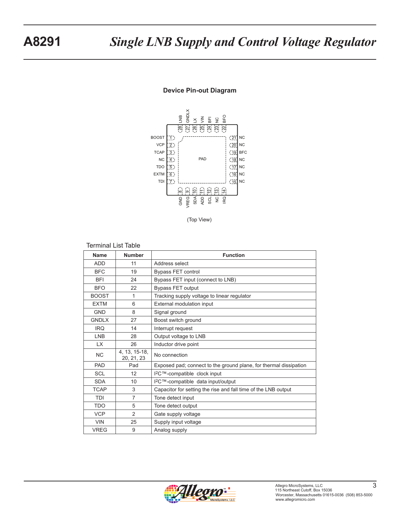



(Top View)

#### Terminal List Table

| <b>Name</b>  | <b>Number</b>               | <b>Function</b>                                                   |
|--------------|-----------------------------|-------------------------------------------------------------------|
| <b>ADD</b>   | 11                          | Address select                                                    |
| <b>BFC</b>   | 19                          | Bypass FET control                                                |
| <b>BFI</b>   | 24                          | Bypass FET input (connect to LNB)                                 |
| <b>BFO</b>   | 22                          | <b>Bypass FET output</b>                                          |
| <b>BOOST</b> | 1                           | Tracking supply voltage to linear regulator                       |
| <b>EXTM</b>  | 6                           | External modulation input                                         |
| <b>GND</b>   | 8                           | Signal ground                                                     |
| <b>GNDLX</b> | 27                          | Boost switch ground                                               |
| <b>IRQ</b>   | 14                          | Interrupt request                                                 |
| <b>LNB</b>   | 28                          | Output voltage to LNB                                             |
| <b>LX</b>    | 26                          | Inductor drive point                                              |
| <b>NC</b>    | 4, 13, 15-18,<br>20, 21, 23 | No connection                                                     |
| <b>PAD</b>   | Pad                         | Exposed pad; connect to the ground plane, for thermal dissipation |
| <b>SCL</b>   | 12                          | I <sup>2</sup> C™-compatible clock input                          |
| <b>SDA</b>   | 10                          | I <sup>2</sup> C™-compatible data input/output                    |
| <b>TCAP</b>  | 3                           | Capacitor for setting the rise and fall time of the LNB output    |
| <b>TDI</b>   | 7                           | Tone detect input                                                 |
| <b>TDO</b>   | 5                           | Tone detect output                                                |
| <b>VCP</b>   | $\overline{2}$              | Gate supply voltage                                               |
| <b>VIN</b>   | 25                          | Supply input voltage                                              |
| <b>VREG</b>  | 9                           | Analog supply                                                     |

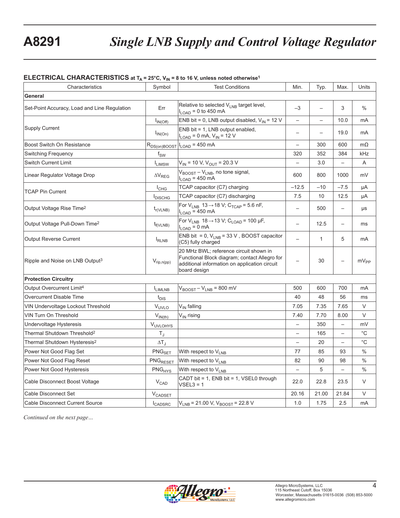#### **ELECTRICAL CHARACTERISTICS** at  $T_A = 25^\circ C$ ,  $V_{IN} = 8$  to 16 V, unless noted otherwise<sup>1</sup>

| Characteristics                              | Symbol                                              | <b>Test Conditions</b>                                                                                                                                   | Min.                     | Typ.                     | Max.                     | Units         |
|----------------------------------------------|-----------------------------------------------------|----------------------------------------------------------------------------------------------------------------------------------------------------------|--------------------------|--------------------------|--------------------------|---------------|
| General                                      |                                                     |                                                                                                                                                          |                          |                          |                          |               |
| Set-Point Accuracy, Load and Line Regulation | Err                                                 | Relative to selected V <sub>LNB</sub> target level,<br>$I_{LOAD}$ = 0 to 450 mA                                                                          | $-3$                     |                          | 3                        | $\frac{0}{0}$ |
|                                              | $I_{IN(Off)}$                                       | ENB bit = 0, LNB output disabled, $V_{IN}$ = 12 V                                                                                                        | $\overline{\phantom{0}}$ | $\overline{\phantom{0}}$ | 10.0                     | mA            |
| <b>Supply Current</b>                        | $I_{IN(On)}$                                        | ENB bit = 1, LNB output enabled,<br>$I_{LOAD} = 0$ mA, $V_{IN} = 12$ V                                                                                   |                          | $\overline{\phantom{0}}$ | 19.0                     | mA            |
| Boost Switch On Resistance                   | R <sub>DS(on)BOOST</sub>                            | $I_{\text{LOAD}}$ = 450 mA                                                                                                                               | $\qquad \qquad -$        | 300                      | 600                      | $m\Omega$     |
| <b>Switching Frequency</b>                   | $f_{SW}$                                            |                                                                                                                                                          | 320                      | 352                      | 384                      | kHz           |
| <b>Switch Current Limit</b>                  | <b>I</b> LIMSW                                      | $V_{IN}$ = 10 V, $V_{OUT}$ = 20.3 V                                                                                                                      | $\overline{\phantom{0}}$ | 3.0                      | $\overline{a}$           | A             |
| Linear Regulator Voltage Drop                | $\Delta\mathsf{V}_{\mathsf{REG}}$                   | V <sub>BOOST</sub> - V <sub>LNB</sub> , no tone signal,<br>$I_{LOAD}$ = 450 mA                                                                           | 600                      | 800                      | 1000                     | mV            |
| <b>TCAP Pin Current</b>                      | $I_{CHG}$                                           | TCAP capacitor (C7) charging                                                                                                                             | $-12.5$                  | $-10$                    | $-7.5$                   | μA            |
|                                              | <b>I</b> DISCHG                                     | TCAP capacitor (C7) discharging                                                                                                                          | 7.5                      | 10                       | 12.5                     | μA            |
| Output Voltage Rise Time <sup>2</sup>        | $t_{r(VLNB)}$                                       | For $V_{LNB}$ 13 $\rightarrow$ 18 V; C <sub>TCAP</sub> = 5.6 nF,<br>$I_{LOAD}$ = 450 mA                                                                  | $\overline{\phantom{0}}$ | 500                      |                          | μs            |
| Output Voltage Pull-Down Time <sup>2</sup>   | $t_{f(VLNB)}$                                       | For $V_{LNB}$ 18 $\rightarrow$ 13 V; C <sub>LOAD</sub> = 100 µF,<br>$I_{LOAD} = 0$ mA                                                                    | $\overline{\phantom{0}}$ | 12.5                     | $\qquad \qquad -$        | ms            |
| <b>Output Reverse Current</b>                | <b>I</b> RLNB                                       | ENB bit = 0, $V_{LNB}$ = 33 V, BOOST capacitor<br>(C5) fully charged                                                                                     | $\overline{\phantom{0}}$ | $\mathbf{1}$             | 5                        | mA            |
| Ripple and Noise on LNB Output <sup>3</sup>  | $\mathsf{V}_{\mathsf{rip},\mathsf{n}(\mathsf{pp})}$ | 20 MHz BWL; reference circuit shown in<br>Functional Block diagram; contact Allegro for<br>additional information on application circuit<br>board design |                          | 30                       |                          | $mv_{\rm PP}$ |
| <b>Protection Circuitry</b>                  |                                                     |                                                                                                                                                          |                          |                          |                          |               |
| Output Overcurrent Limit <sup>4</sup>        | <b>LIMLNB</b>                                       | $V_{\text{BOOST}} - V_{\text{LNB}} = 800 \text{ mV}$                                                                                                     | 500                      | 600                      | 700                      | mA            |
| Overcurrent Disable Time                     | $t_{\text{DIS}}$                                    |                                                                                                                                                          | 40                       | 48                       | 56                       | ms            |
| VIN Undervoltage Lockout Threshold           | VUVLO                                               | V <sub>IN</sub> falling                                                                                                                                  | 7.05                     | 7.35                     | 7.65                     | V             |
| VIN Turn On Threshold                        | $V_{IN(th)}$                                        | V <sub>IN</sub> rising                                                                                                                                   | 7.40                     | 7.70                     | 8.00                     | V             |
| Undervoltage Hysteresis                      | V <sub>UVLOHYS</sub>                                |                                                                                                                                                          | $\overline{\phantom{0}}$ | 350                      | $\overline{\phantom{0}}$ | mV            |
| Thermal Shutdown Threshold <sup>2</sup>      | $T_J$                                               |                                                                                                                                                          | $\overline{\phantom{0}}$ | 165                      | $\overline{\phantom{0}}$ | $^{\circ}$ C  |
| Thermal Shutdown Hysteresis <sup>2</sup>     | $\Delta T_J$                                        |                                                                                                                                                          | $\overline{\phantom{0}}$ | 20                       |                          | $^{\circ}C$   |
| Power Not Good Flag Set                      | $\mathsf{PNG}_{\mathsf{SET}}$                       | With respect to V <sub>LNB</sub>                                                                                                                         | 77                       | 85                       | 93                       | $\%$          |
| Power Not Good Flag Reset                    | PNG <sub>RESET</sub>                                | With respect to V <sub>LNB</sub>                                                                                                                         | 82                       | 90                       | 98                       | $\%$          |
| Power Not Good Hysteresis                    | PNG <sub>HYS</sub>                                  | With respect to V <sub>LNB</sub>                                                                                                                         | $\overline{\phantom{0}}$ | 5                        | $\overline{a}$           | $\%$          |
| Cable Disconnect Boost Voltage               | $V_{CAD}$                                           | CADT bit = 1, ENB bit = 1, VSEL0 through<br>$VSEL3 = 1$                                                                                                  | 22.0                     | 22.8                     | 23.5                     | V             |
| Cable Disconnect Set                         | $V_{\text{CADSET}}$                                 |                                                                                                                                                          | 20.16                    | 21.00                    | 21.84                    | V             |
| Cable Disconnect Current Source              | $I_{\text{CADSRC}}$                                 | $V_{LNB}$ = 21.00 V, $V_{BODST}$ = 22.8 V                                                                                                                | 1.0                      | 1.75                     | 2.5                      | mA            |

*Continued on the next page…*

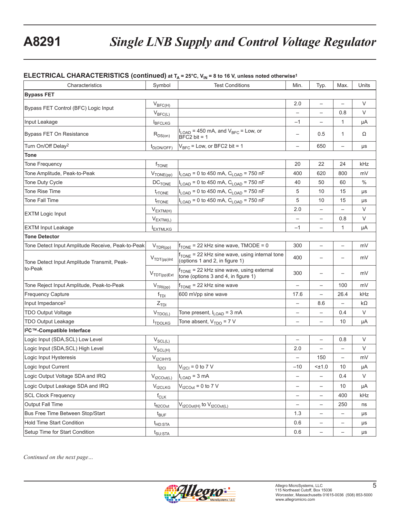#### **ELECTRICAL CHARACTERISTICS (continued) at TA = 25°C, V<sub>IN</sub> = 8 to 16 V, unless noted otherwise<sup>1</sup>**

| Characteristics                                   | Symbol                          | <b>Test Conditions</b>                                                                      | Min.                     | Typ.                     | Max.                     | Units   |
|---------------------------------------------------|---------------------------------|---------------------------------------------------------------------------------------------|--------------------------|--------------------------|--------------------------|---------|
| <b>Bypass FET</b>                                 |                                 |                                                                                             |                          |                          |                          |         |
|                                                   | $V_{BFC(H)}$                    |                                                                                             | 2.0                      |                          |                          | V       |
| Bypass FET Control (BFC) Logic Input              | $V_{BFC(L)}$                    |                                                                                             | $\overline{\phantom{0}}$ | $\qquad \qquad -$        | 0.8                      | V       |
| Input Leakage                                     | <b>IBFCLKG</b>                  |                                                                                             | $-1$                     | $\overline{\phantom{0}}$ | $\mathbf{1}$             | μA      |
| Bypass FET On Resistance                          | $R_{DS(on)}$                    | $I_{\text{LOAD}}$ = 450 mA, and $V_{\text{BFC}}$ = Low, or<br>$BFC2$ bit = 1                |                          | 0.5                      | $\mathbf{1}$             | Ω       |
| Turn On/Off Delay <sup>2</sup>                    | $t_{D(ON/OFF)}$                 | $V_{BFC}$ = Low, or BFC2 bit = 1                                                            | $\overline{\phantom{0}}$ | 650                      | $\overline{\phantom{0}}$ | μs      |
| <b>Tone</b>                                       |                                 |                                                                                             |                          |                          |                          |         |
| <b>Tone Frequency</b>                             | $f_{\text{TONE}}$               |                                                                                             | 20                       | 22                       | 24                       | kHz     |
| Tone Amplitude, Peak-to-Peak                      | $V_{\text{TONE(pp)}}$           | $I_{\text{LOAD}}$ = 0 to 450 mA, $C_{\text{LOAD}}$ = 750 nF                                 | 400                      | 620                      | 800                      | mV      |
| Tone Duty Cycle                                   | <b>DC<sub>TONE</sub></b>        | $I_{\text{LOAD}}$ = 0 to 450 mA, $C_{\text{LOAD}}$ = 750 nF                                 | 40                       | 50                       | 60                       | $\%$    |
| <b>Tone Rise Time</b>                             | t <sub>r</sub> TONE             | $I_{\text{LOAD}}$ = 0 to 450 mA, $C_{\text{LOAD}}$ = 750 nF                                 | 5                        | 10                       | 15                       | μs      |
| Tone Fall Time                                    | $t_{\text{fTONE}}$              | $I_{LOAD}$ = 0 to 450 mA, $C_{LOAD}$ = 750 nF                                               | 5                        | 10                       | 15                       | μs      |
| <b>EXTM Logic Input</b>                           | $V_{EXTM(H)}$                   |                                                                                             | 2.0                      |                          |                          | V       |
|                                                   | $V_{EXT\underline{M(L)}}$       |                                                                                             |                          |                          | 0.8                      | V       |
| <b>EXTM Input Leakage</b>                         | <b>IEXTMLKG</b>                 |                                                                                             | $-1$                     | $\qquad \qquad -$        | $\mathbf{1}$             | μA      |
| <b>Tone Detector</b>                              |                                 |                                                                                             |                          |                          |                          |         |
| Tone Detect Input Amplitude Receive, Peak-to-Peak | $V_{TDR(pp)}$                   | $f_{\text{TONE}}$ = 22 kHz sine wave, TMODE = 0                                             | 300                      | $\qquad \qquad -$        | $\qquad \qquad -$        | mV      |
| Tone Detect Input Amplitude Transmit, Peak-       | $V_{\text{TDT(pp)Int}}$         | f <sub>TONE</sub> = 22 kHz sine wave, using internal tone<br>(options 1 and 2, in figure 1) | 400                      |                          |                          | mV      |
| to-Peak                                           | $V_{\text{TDT(pp})Ext}$         | $f_{\text{TONE}}$ = 22 kHz sine wave, using external<br>tone (options 3 and 4, in figure 1) | 300                      | $\overline{\phantom{0}}$ |                          | mV      |
| Tone Reject Input Amplitude, Peak-to-Peak         | $V_{TRI(pp)}$                   | $f_{\text{TONE}}$ = 22 kHz sine wave                                                        | $\qquad \qquad -$        | $\qquad \qquad -$        | 100                      | mV      |
| Frequency Capture                                 | $f_{\text{TDI}}$                | 600 mVpp sine wave                                                                          | 17.6                     | $\overline{\phantom{0}}$ | 26.4                     | kHz     |
| Input Impedance <sup>2</sup>                      | $Z$ <sub>TDI</sub>              |                                                                                             |                          | 8.6                      |                          | kΩ      |
| <b>TDO Output Voltage</b>                         | $V_{\text{TDQ}(\underline{L})}$ | Tone present, I <sub>LOAD</sub> = 3 mA                                                      | -                        | $\qquad \qquad -$        | 0.4                      | V       |
| <b>TDO Output Leakage</b>                         | <b>I</b> TDOLKG                 | Tone absent, $V_{TDO} = 7 V$                                                                | $\overline{\phantom{0}}$ | $\qquad \qquad -$        | 10                       | μA      |
| I <sup>2</sup> C™-Compatible Interface            |                                 |                                                                                             |                          |                          |                          |         |
| Logic Input (SDA, SCL) Low Level                  | $V_{SCL(L)}$                    |                                                                                             | $\overline{\phantom{0}}$ | $\qquad \qquad -$        | 0.8                      | V       |
| Logic Input (SDA, SCL) High Level                 | $V_{SCL(H)}$                    |                                                                                             | 2.0                      | $\overline{\phantom{0}}$ | $\overline{\phantom{0}}$ | V       |
| Logic Input Hysteresis                            | V <sub>I2CIHYS</sub>            |                                                                                             |                          | 150                      | $\overline{\phantom{0}}$ | mV      |
| Logic Input Current                               | $I_{\text{ICI}}$                | $V_{12Cl} = 0$ to 7 V                                                                       | $-10$                    | $<$ $±1.0$               | 10                       | μA      |
| Logic Output Voltage SDA and IRQ                  | $V_{t2COut(L)}$                 | $I_{LOAD} = 3 mA$                                                                           | $\qquad \qquad -$        | $\qquad \qquad -$        | 0.4                      | V       |
| Logic Output Leakage SDA and IRQ                  | $V_{t2CLKG}$                    | $V_{t2\text{COut}}$ = 0 to 7 V                                                              | -                        | $\qquad \qquad -$        | 10                       | μA      |
| <b>SCL Clock Frequency</b>                        | $f_{CLK}$                       |                                                                                             | -                        | $\overline{\phantom{0}}$ | 400                      | kHz     |
| Output Fall Time                                  | $t_{fl2COut}$                   | $V_{t2COut(H)}$ to $V_{t2COut(L)}$                                                          | -                        | $\overline{\phantom{0}}$ | 250                      | ns      |
| Bus Free Time Between Stop/Start                  | $t_{\mathsf{BUF}}$              |                                                                                             | 1.3                      | $\qquad \qquad -$        | $\qquad \qquad -$        | μs      |
| Hold Time Start Condition                         | $t_{HD:STA}$                    |                                                                                             | 0.6                      | $\qquad \qquad -$        | $\qquad \qquad -$        | $\mu s$ |
| Setup Time for Start Condition                    | $t_{\text{SU:STA}}$             |                                                                                             | 0.6                      | $\qquad \qquad -$        | $\overline{\phantom{0}}$ | $\mu s$ |

*Continued on the next page…*

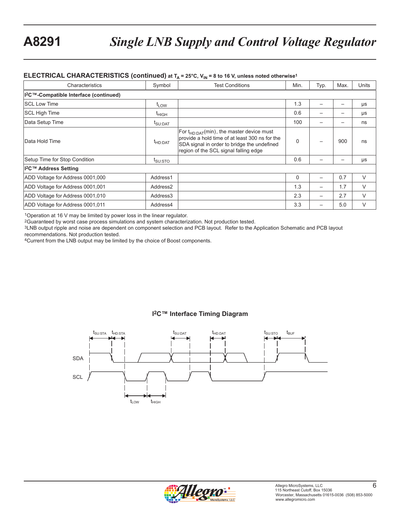#### **ELECTRICAL CHARACTERISTICS (continued) at TA = 25°C, V<sub>IN</sub> = 8 to 16 V, unless noted otherwise<sup>1</sup>**

| Characteristics                                    | Symbol                         | <b>Test Conditions</b>                                                                                                                                                                   | Min. | Typ. | Max.                     | Units  |
|----------------------------------------------------|--------------------------------|------------------------------------------------------------------------------------------------------------------------------------------------------------------------------------------|------|------|--------------------------|--------|
| I <sup>2</sup> C™-Compatible Interface (continued) |                                |                                                                                                                                                                                          |      |      |                          |        |
| <b>SCL Low Time</b>                                | <sup>I</sup> LOW               |                                                                                                                                                                                          | 1.3  |      | $\overline{\phantom{0}}$ | μs     |
| <b>SCL High Time</b>                               | <sup>T</sup> HIGH              |                                                                                                                                                                                          | 0.6  |      |                          | μs     |
| Data Setup Time                                    | $\mathfrak{r}_{\text{SU:DAT}}$ |                                                                                                                                                                                          | 100  |      |                          | ns     |
| lData Hold Time                                    | $t_{HD:DAT}$                   | For $t_{HD:DAT}(min)$ , the master device must<br>provide a hold time of at least 300 ns for the<br>SDA signal in order to bridge the undefined<br>region of the SCL signal falling edge | 0    |      | 900                      | ns     |
| Setup Time for Stop Condition                      | t <sub>SU:STO</sub>            |                                                                                                                                                                                          | 0.6  |      |                          | μs     |
| I <sup>2</sup> C™ Address Setting                  |                                |                                                                                                                                                                                          |      |      |                          |        |
| ADD Voltage for Address 0001,000                   | Address1                       |                                                                                                                                                                                          | 0    |      | 0.7                      | $\vee$ |
| ADD Voltage for Address 0001,001                   | Address <sub>2</sub>           |                                                                                                                                                                                          | 1.3  |      | 1.7                      | V      |
| ADD Voltage for Address 0001,010                   | Address3                       |                                                                                                                                                                                          | 2.3  |      | 2.7                      | V      |
| ADD Voltage for Address 0001,011                   | Address4                       |                                                                                                                                                                                          | 3.3  |      | 5.0                      | V      |

1Operation at 16 V may be limited by power loss in the linear regulator.

2Guaranteed by worst case process simulations and system characterization. Not production tested.

3LNB output ripple and noise are dependent on component selection and PCB layout. Refer to the Application Schematic and PCB layout recommendations. Not production tested.

4Current from the LNB output may be limited by the choice of Boost components.

### **I2C™ Interface Timing Diagram**



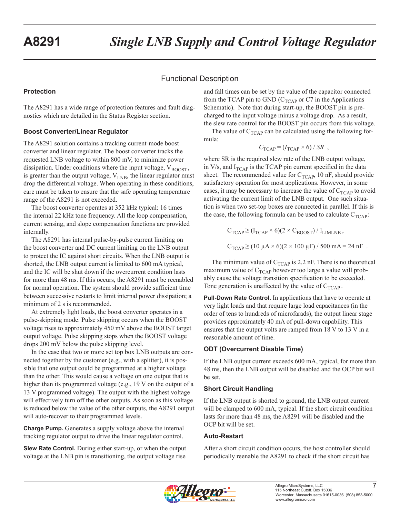## Functional Description

### **Protection**

The A8291 has a wide range of protection features and fault diagnostics which are detailed in the Status Register section.

## **Boost Converter/Linear Regulator**

The A8291 solution contains a tracking current-mode boost converter and linear regulator. The boost converter tracks the requested LNB voltage to within 800 mV, to minimize power dissipation. Under conditions where the input voltage,  $V_{\text{BOOST}}$ , is greater than the output voltage,  $V_{LNB}$ , the linear regulator must drop the differential voltage. When operating in these conditions, care must be taken to ensure that the safe operating temperature range of the A8291 is not exceeded.

The boost converter operates at 352 kHz typical: 16 times the internal 22 kHz tone frequency. All the loop compensation, current sensing, and slope compensation functions are provided internally.

The A8291 has internal pulse-by-pulse current limiting on the boost converter and DC current limiting on the LNB output to protect the IC against short circuits. When the LNB output is shorted, the LNB output current is limited to 600 mA typical, and the IC will be shut down if the overcurrent condition lasts for more than 48 ms. If this occurs, the A8291 must be reenabled for normal operation. The system should provide sufficient time between successive restarts to limit internal power dissipation; a minimum of 2 s is recommended.

At extremely light loads, the boost converter operates in a pulse-skipping mode. Pulse skipping occurs when the BOOST voltage rises to approximately 450 mV above the BOOST target output voltage. Pulse skipping stops when the BOOST voltage drops 200 mV below the pulse skipping level.

In the case that two or more set top box LNB outputs are connected together by the customer (e.g., with a splitter), it is possible that one output could be programmed at a higher voltage than the other. This would cause a voltage on one output that is higher than its programmed voltage (e.g., 19 V on the output of a 13 V programmed voltage). The output with the highest voltage will effectively turn off the other outputs. As soon as this voltage is reduced below the value of the other outputs, the A8291 output will auto-recover to their programmed levels.

**Charge Pump.** Generates a supply voltage above the internal tracking regulator output to drive the linear regulator control.

**Slew Rate Control.** During either start-up, or when the output voltage at the LNB pin is transitioning, the output voltage rise

and fall times can be set by the value of the capacitor connected from the TCAP pin to GND ( $C_{TCAP}$  or C7 in the Applications Schematic). Note that during start-up, the BOOST pin is precharged to the input voltage minus a voltage drop. As a result, the slew rate control for the BOOST pin occurs from this voltage.

The value of  $C_{TCAP}$  can be calculated using the following formula:

$$
C_{\text{TCAP}} = (I_{\text{TCAP}} \times 6) / SR ,
$$

where SR is the required slew rate of the LNB output voltage, in V/s, and  $I_{TCAP}$  is the TCAP pin current specified in the data sheet. The recommended value for  $C_{TCAP}$ , 10 nF, should provide satisfactory operation for most applications. However, in some cases, it may be necessary to increase the value of  $C_{TCAP}$  to avoid activating the current limit of the LNB output. One such situation is when two set-top boxes are connected in parallel. If this is the case, the following formula can be used to calculate  $C_{TCAP}$ :

$$
C_{TCAP} \ge (I_{TCAP} \times 6)(2 \times C_{BOOST}) / I_{LIMLNB}
$$
,  
\n $C_{TCAP} \ge (10 \mu A \times 6)(2 \times 100 \mu F) / 500 mA = 24 nF$ .

The minimum value of  $C_{TCAP}$  is 2.2 nF. There is no theoretical maximum value of  $C_{TCAP}$  however too large a value will probably cause the voltage transition specification to be exceeded. Tone generation is unaffected by the value of  $C_{TCAP}$ .

**Pull-Down Rate Control.** In applications that have to operate at very light loads and that require large load capacitances (in the order of tens to hundreds of microfarads), the output linear stage provides approximately 40 mA of pull-down capability. This ensures that the output volts are ramped from 18 V to 13 V in a reasonable amount of time.

## **ODT (Overcurrent Disable Time)**

If the LNB output current exceeds 600 mA, typical, for more than 48 ms, then the LNB output will be disabled and the OCP bit will be set.

### **Short Circuit Handling**

If the LNB output is shorted to ground, the LNB output current will be clamped to 600 mA, typical. If the short circuit condition lasts for more than 48 ms, the A8291 will be disabled and the OCP bit will be set.

### **Auto-Restart**

After a short circuit condition occurs, the host controller should periodically reenable the A8291 to check if the short circuit has

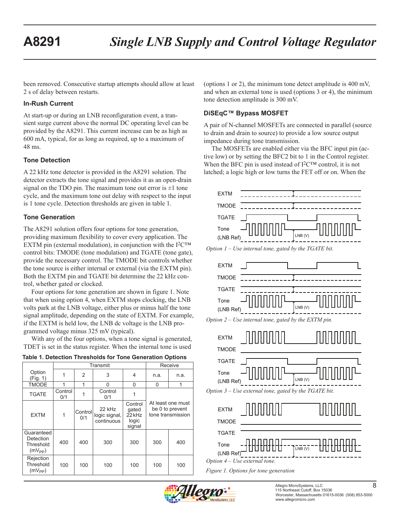been removed. Consecutive startup attempts should allow at least 2 s of delay between restarts.

#### **In-Rush Current**

At start-up or during an LNB reconfiguration event, a transient surge current above the normal DC operating level can be provided by the A8291. This current increase can be as high as 600 mA, typical, for as long as required, up to a maximum of 48 ms.

#### **Tone Detection**

A 22 kHz tone detector is provided in the A8291 solution. The detector extracts the tone signal and provides it as an open-drain signal on the TDO pin. The maximum tone out error is  $\pm 1$  tone cycle, and the maximum tone out delay with respect to the input is 1 tone cycle. Detection thresholds are given in table 1.

#### **Tone Generation**

The A8291 solution offers four options for tone generation, providing maximum flexibility to cover every application. The EXTM pin (external modulation), in conjunction with the  $I^2C^{TM}$ control bits: TMODE (tone modulation) and TGATE (tone gate), provide the necessary control. The TMODE bit controls whether the tone source is either internal or external (via the EXTM pin). Both the EXTM pin and TGATE bit determine the 22 kHz control, whether gated or clocked.

Four options for tone generation are shown in figure 1. Note that when using option 4, when EXTM stops clocking, the LNB volts park at the LNB voltage, either plus or minus half the tone signal amplitude, depending on the state of EXTM. For example, if the EXTM is held low, the LNB dc voltage is the LNB programmed voltage minus 325 mV (typical).

With any of the four options, when a tone signal is generated, TDET is set in the status register. When the internal tone is used

| Table 1. Detection Thresholds for Tone Generation Options |  |
|-----------------------------------------------------------|--|
|-----------------------------------------------------------|--|

|                                                            |                |                | Transmit                              |                                               |      | Receive                                                   |
|------------------------------------------------------------|----------------|----------------|---------------------------------------|-----------------------------------------------|------|-----------------------------------------------------------|
| Option<br>(Fig. 1)                                         |                | $\overline{2}$ | 3                                     | 4                                             | n.a. | n.a.                                                      |
| <b>TMODE</b>                                               | 1              | 1              | 0                                     | $\Omega$                                      | 0    | 1                                                         |
| <b>TGATE</b>                                               | Control<br>0/1 |                | Control<br>0/1                        |                                               |      |                                                           |
| <b>EXTM</b>                                                | 1              | Control<br>0/1 | 22 kHz<br>logic signal,<br>continuous | Control<br>gated<br>22 kHz<br>logic<br>signal |      | At least one must<br>be 0 to prevent<br>tone transmission |
| Guaranteed<br>Detection<br>Threshold<br>$(mV_{\text{pp}})$ | 400            | 400            | 300                                   | 300                                           | 300  | 400                                                       |
| Rejection<br>Threshold<br>$(mV_{PP})$                      | 100            | 100            | 100                                   | 100                                           | 100  | 100                                                       |

(options 1 or 2), the minimum tone detect amplitude is 400 mV, and when an external tone is used (options 3 or 4), the minimum tone detection amplitude is 300 mV.

## **DiSEqC™ Bypass MOSFET**

A pair of N-channel MOSFETs are connected in parallel (source to drain and drain to source) to provide a low source output impedance during tone transmission.

The MOSFETs are enabled either via the BFC input pin (active low) or by setting the BFC2 bit to 1 in the Control register. When the BFC pin is used instead of I<sup>2</sup>C™ control, it is not latched; a logic high or low turns the FET off or on. When the















*Figure 1. Options for tone generation*

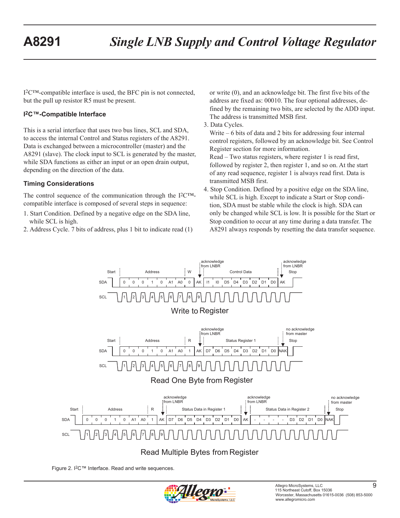I2C™-compatible interface is used, the BFC pin is not connected, but the pull up resistor R5 must be present.

#### **I2C™-Compatible Interface**

This is a serial interface that uses two bus lines, SCL and SDA, to access the internal Control and Status registers of the A8291. Data is exchanged between a microcontroller (master) and the A8291 (slave). The clock input to SCL is generated by the master, while SDA functions as either an input or an open drain output, depending on the direction of the data.

#### **Timing Considerations**

The control sequence of the communication through the I2C™ compatible interface is composed of several steps in sequence:

- 1. Start Condition. Defined by a negative edge on the SDA line, while SCL is high.
- 2. Address Cycle. 7 bits of address, plus 1 bit to indicate read (1)

or write (0), and an acknowledge bit. The first five bits of the address are fixed as: 00010. The four optional addresses, defined by the remaining two bits, are selected by the ADD input. The address is transmitted MSB first.

3. Data Cycles.

Write – 6 bits of data and 2 bits for addressing four internal control registers, followed by an acknowledge bit. See Control Register section for more information.

Read – Two status registers, where register 1 is read first, followed by register 2, then register 1, and so on. At the start of any read sequence, register 1 is always read first. Data is transmitted MSB first.

4. Stop Condition. Defined by a positive edge on the SDA line, while SCL is high. Except to indicate a Start or Stop condition, SDA must be stable while the clock is high. SDA can only be changed while SCL is low. It is possible for the Start or Stop condition to occur at any time during a data transfer. The A8291 always responds by resetting the data transfer sequence.



Figure 2. I2C™ Interface. Read and write sequences.

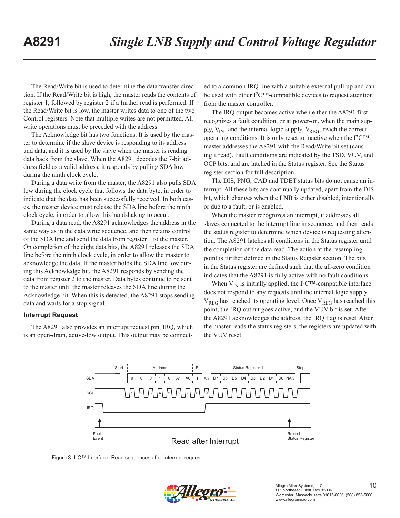The Read/Write bit is used to determine the data transfer direction. If the Read/Write bit is high, the master reads the contents of register 1, followed by register 2 if a further read is performed. If the Read/Write bit is low, the master writes data to one of the two Control registers. Note that multiple writes are not permitted. All write operations must be preceded with the address.

The Acknowledge bit has two functions. It is used by the master to determine if the slave device is responding to its address and data, and it is used by the slave when the master is reading data back from the slave. When the A8291 decodes the 7-bit address field as a valid address, it responds by pulling SDA low during the ninth clock cycle.

During a data write from the master, the A8291 also pulls SDA low during the clock cycle that follows the data byte, in order to indicate that the data has been successfully received. In both cases, the master device must release the SDA line before the ninth clock cycle, in order to allow this handshaking to occur.

During a data read, the A8291 acknowledges the address in the same way as in the data write sequence, and then retains control of the SDA line and send the data from register 1 to the master. On completion of the eight data bits, the A8291 releases the SDA line before the ninth clock cycle, in order to allow the master to acknowledge the data. If the master holds the SDA line low during this Acknowledge bit, the A8291 responds by sending the data from register 2 to the master. Data bytes continue to be sent to the master until the master releases the SDA line during the Acknowledge bit. When this is detected, the A8291 stops sending data and waits for a stop signal.

#### **Interrupt Request**

The A8291 also provides an interrupt request pin, IRQ, which is an open-drain, active-low output. This output may be connected to a common IRQ line with a suitable external pull-up and can be used with other I2C™-compatible devices to request attention from the master controller.

The IRQ output becomes active when either the A8291 first recognizes a fault condition, or at power-on, when the main supply,  $V_{IN}$ , and the internal logic supply,  $V_{REG}$ , reach the correct operating conditions. It is only reset to inactive when the I2C™ master addresses the A8291 with the Read/Write bit set (causing a read). Fault conditions are indicated by the TSD, VUV, and OCP bits, and are latched in the Status register. See the Status register section for full description.

The DIS, PNG, CAD and TDET status bits do not cause an interrupt. All these bits are continually updated, apart from the DIS bit, which changes when the LNB is either disabled, intentionally or due to a fault, or is enabled.

When the master recognizes an interrupt, it addresses all slaves connected to the interrupt line in sequence, and then reads the status register to determine which device is requesting attention. The A8291 latches all conditions in the Status register until the completion of the data read. The action at the resampling point is further defined in the Status Register section. The bits in the Status register are defined such that the all-zero condition indicates that the A8291 is fully active with no fault conditions.

When  $V_{IN}$  is initially applied, the I<sup>2</sup>C<sup>TM</sup>-compatible interface does not respond to any requests until the internal logic supply  $V_{REG}$  has reached its operating level. Once  $V_{REG}$  has reached this point, the IRQ output goes active, and the VUV bit is set. After the A8291 acknowledges the address, the IRQ flag is reset. After the master reads the status registers, the registers are updated with the VUV reset.





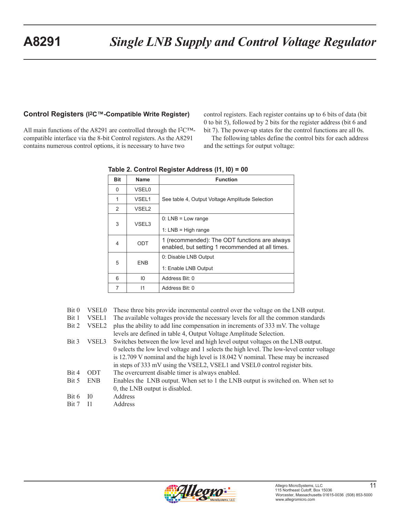#### **Control Registers (I2C™-Compatible Write Register)**

All main functions of the A8291 are controlled through the I2C™ compatible interface via the 8-bit Control registers. As the A8291 contains numerous control options, it is necessary to have two

control registers. Each register contains up to 6 bits of data (bit 0 to bit 5), followed by 2 bits for the register address (bit 6 and bit 7). The power-up states for the control functions are all 0s.

The following tables define the control bits for each address and the settings for output voltage:

| <b>Bit</b>    | Name              | <b>Function</b>                                                                                   |
|---------------|-------------------|---------------------------------------------------------------------------------------------------|
| $\Omega$      | <b>VSEL0</b>      |                                                                                                   |
| 1             | VSEL <sub>1</sub> | See table 4, Output Voltage Amplitude Selection                                                   |
| $\mathcal{P}$ | VSEL <sub>2</sub> |                                                                                                   |
| 3             | VSEL3             | $0: LNB = Low range$                                                                              |
|               |                   | 1: $LNB = High range$                                                                             |
| 4             | ODT               | 1 (recommended): The ODT functions are always<br>enabled, but setting 1 recommended at all times. |
|               |                   | 0: Disable LNB Output                                                                             |
| 5             | <b>ENB</b>        | 1: Enable LNB Output                                                                              |
| 6             | 10 <sup>10</sup>  | Address Bit: 0                                                                                    |
| 7             | $\mathsf{I}$      | Address Bit: 0                                                                                    |

**Table 2. Control Register Address (I1, I0) = 00**

|  |  | Bit 0 VSEL0 These three bits provide incremental control over the voltage on the LNB output. |  |  |  |
|--|--|----------------------------------------------------------------------------------------------|--|--|--|
|--|--|----------------------------------------------------------------------------------------------|--|--|--|

Bit 1 VSEL1 The available voltages provide the necessary levels for all the common standards

|  | Bit 2 VSEL2 plus the ability to add line compensation in increments of 333 mV. The voltage |
|--|--------------------------------------------------------------------------------------------|
|  | levels are defined in table 4, Output Voltage Amplitude Selection.                         |

- Bit 3 VSEL3 Switches between the low level and high level output voltages on the LNB output. 0 selects the low level voltage and 1 selects the high level. The low-level center voltage is 12.709 V nominal and the high level is 18.042 V nominal. These may be increased in steps of 333 mV using the VSEL2, VSEL1 and VSEL0 control register bits. Bit 4 ODT The overcurrent disable timer is always enabled. Bit 5 ENB Enables the LNB output. When set to 1 the LNB output is switched on. When set to 0, the LNB output is disabled.
- Bit 6 I0 Address
- Bit 7 I1 Address

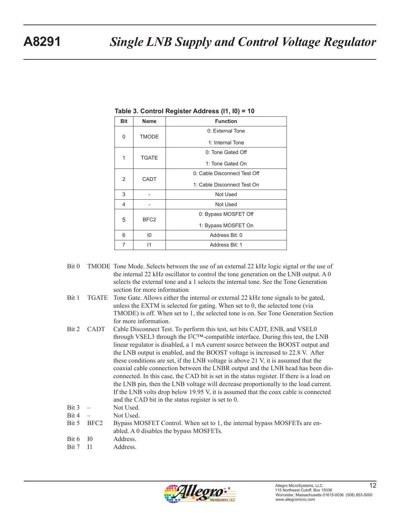|              | ັ                     |                              |  |
|--------------|-----------------------|------------------------------|--|
| <b>Bit</b>   | <b>Name</b>           | <b>Function</b>              |  |
| 0            | <b>TMODE</b>          | 0: External Tone             |  |
|              |                       | 1: Internal Tone             |  |
| 1            |                       | 0: Tone Gated Off            |  |
| <b>TGATE</b> |                       | 1: Tone Gated On             |  |
| 2            | <b>CADT</b>           | 0: Cable Disconnect Test Off |  |
|              |                       | 1: Cable Disconnect Test On  |  |
| 3            |                       | Not Used                     |  |
| 4            |                       | Not Used                     |  |
|              | 5<br>BFC <sub>2</sub> | 0: Bypass MOSFET Off         |  |
|              |                       | 1: Bypass MOSFET On          |  |
| 6            | 10                    | Address Bit: 0               |  |
| 7            | 11                    | Address Bit: 1               |  |

**Table 3. Control Register Address (I1, I0) = 10**

- Bit 0 TMODE Tone Mode. Selects between the use of an external 22 kHz logic signal or the use of the internal 22 kHz oscillator to control the tone generation on the LNB output. A 0 selects the external tone and a 1 selects the internal tone. See the Tone Generation section for more information
- Bit 1 TGATE Tone Gate. Allows either the internal or external 22 kHz tone signals to be gated, unless the EXTM is selected for gating. When set to 0, the selected tone (via TMODE) is off. When set to 1, the selected tone is on. See Tone Generation Section for more information.
- Bit 2 CADT Cable Disconnect Test. To perform this test, set bits CADT, ENB, and VSEL0 through VSEL3 through the  $I^2C^{TM}$ -compatible interface. During this test, the LNB linear regulator is disabled, a 1 mA current source between the BOOST output and the LNB output is enabled, and the BOOST voltage is increased to 22.8 V. After these conditions are set, if the LNB voltage is above 21 V, it is assumed that the coaxial cable connection between the LNBR output and the LNB head has been disconnected. In this case, the CAD bit is set in the status register. If there is a load on the LNB pin, then the LNB voltage will decrease proportionally to the load current. If the LNB volts drop below 19.95 V, it is assumed that the coax cable is connected and the CAD bit in the status register is set to 0.
- Bit 3 Not Used.
- $Bit 4$  Not Used.
- Bit 5 BFC2 Bypass MOSFET Control. When set to 1, the internal bypass MOSFETs are enabled. A 0 disables the bypass MOSFETs.
- Bit 6 I0 Address.
- Bit 7 I1 Address.

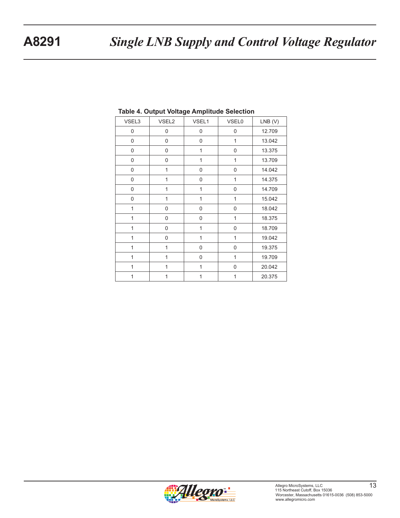| VSEL3          | VSEL2 | VSEL1        | <b>VSEL0</b> | $LNB$ (V) |
|----------------|-------|--------------|--------------|-----------|
| 0              | 0     | 0            | 0            | 12.709    |
| 0              | 0     | $\pmb{0}$    | $\mathbf{1}$ | 13.042    |
| 0              | 0     | 1            | 0            | 13.375    |
| 0              | 0     | 1            | $\mathbf{1}$ | 13.709    |
| 0              | 1     | 0            | 0            | 14.042    |
| 0              | 1     | 0            | 1            | 14.375    |
| 0              | 1     | 1            | 0            | 14.709    |
| 0              | 1     | 1            | 1            | 15.042    |
| 1              | 0     | 0            | 0            | 18.042    |
| 1              | 0     | 0            | 1            | 18.375    |
| 1              | 0     | $\mathbf{1}$ | 0            | 18.709    |
| 1              | 0     | 1            | 1            | 19.042    |
| $\mathbf{1}$   | 1     | 0            | 0            | 19.375    |
| $\overline{1}$ | 1     | 0            | 1            | 19.709    |
| 1              | 1     | 1            | $\mathbf 0$  | 20.042    |
| 1              | 1     | 1            | 1            | 20.375    |

#### **Table 4. Output Voltage Amplitude Selection**

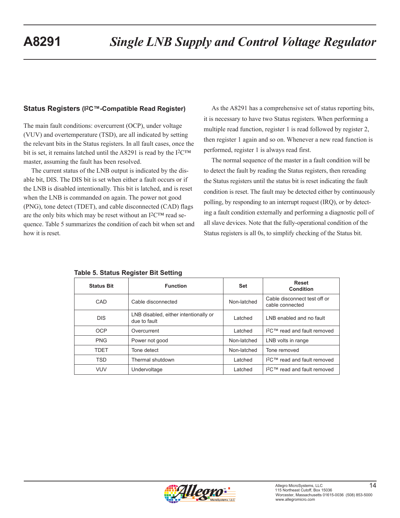#### **Status Registers (I2C™-Compatible Read Register)**

The main fault conditions: overcurrent (OCP), under voltage (VUV) and overtemperature (TSD), are all indicated by setting the relevant bits in the Status registers. In all fault cases, once the bit is set, it remains latched until the A8291 is read by the  $I^2C^{TM}$ master, assuming the fault has been resolved.

The current status of the LNB output is indicated by the disable bit, DIS. The DIS bit is set when either a fault occurs or if the LNB is disabled intentionally. This bit is latched, and is reset when the LNB is commanded on again. The power not good (PNG), tone detect (TDET), and cable disconnected (CAD) flags are the only bits which may be reset without an  $12<sup>CTM</sup>$  read sequence. Table 5 summarizes the condition of each bit when set and how it is reset.

As the A8291 has a comprehensive set of status reporting bits, it is necessary to have two Status registers. When performing a multiple read function, register 1 is read followed by register 2, then register 1 again and so on. Whenever a new read function is performed, register 1 is always read first.

The normal sequence of the master in a fault condition will be to detect the fault by reading the Status registers, then rereading the Status registers until the status bit is reset indicating the fault condition is reset. The fault may be detected either by continuously polling, by responding to an interrupt request (IRQ), or by detecting a fault condition externally and performing a diagnostic poll of all slave devices. Note that the fully-operational condition of the Status registers is all 0s, to simplify checking of the Status bit.

| <b>Status Bit</b> | <b>Function</b>                                       | Set         | <b>Reset</b><br>Condition                       |
|-------------------|-------------------------------------------------------|-------------|-------------------------------------------------|
| CAD               | Cable disconnected                                    | Non-latched | Cable disconnect test off or<br>cable connected |
| <b>DIS</b>        | LNB disabled, either intentionally or<br>due to fault | Latched     | LNB enabled and no fault                        |
| OCP               | Overcurrent                                           | Latched     | I <sup>2</sup> C™ read and fault removed        |
| <b>PNG</b>        | Power not good                                        | Non-latched | LNB volts in range                              |
| <b>TDET</b>       | Tone detect                                           | Non-latched | Tone removed                                    |
| <b>TSD</b>        | Thermal shutdown                                      | Latched     | I <sup>2</sup> C™ read and fault removed        |
| <b>VUV</b>        | Undervoltage                                          | Latched     | $12$ C™ read and fault removed                  |

**Table 5. Status Register Bit Setting**

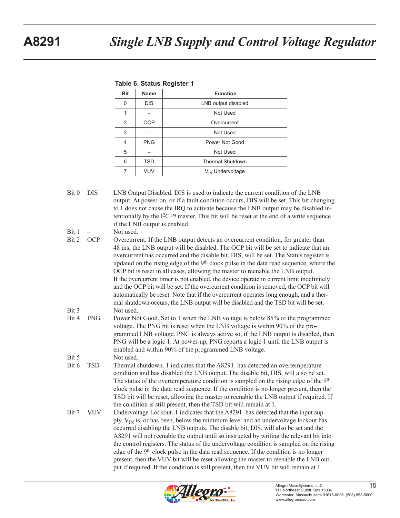| $14010$ of states $1.991$ and $1.99$ |             |                              |
|--------------------------------------|-------------|------------------------------|
| <b>Bit</b>                           | <b>Name</b> | <b>Function</b>              |
| 0                                    | <b>DIS</b>  | LNB output disabled          |
| 1                                    |             | Not Used                     |
| $\overline{2}$                       | <b>OCP</b>  | Overcurrent                  |
| 3                                    |             | Not Used                     |
| 4                                    | <b>PNG</b>  | Power Not Good               |
| 5                                    |             | Not Used                     |
| 6                                    | <b>TSD</b>  | <b>Thermal Shutdown</b>      |
| 7                                    | <b>VUV</b>  | V <sub>IN</sub> Undervoltage |
|                                      |             |                              |

#### **Table 6. Status Register 1**

Bit 0 DIS LNB Output Disabled. DIS is used to indicate the current condition of the LNB output. At power-on, or if a fault condition occurs, DIS will be set. This bit changing to 1 does not cause the IRQ to activate because the LNB output may be disabled intentionally by the I $2<sup>TM</sup>$  master. This bit will be reset at the end of a write sequence if the LNB output is enabled.

Bit 1 – Not used.

- Bit 2 OCP Overcurrent. If the LNB output detects an overcurrent condition, for greater than 48 ms, the LNB output will be disabled. The OCP bit will be set to indicate that an overcurrent has occurred and the disable bit, DIS, will be set. The Status register is updated on the rising edge of the 9th clock pulse in the data read sequence, where the OCP bit is reset in all cases, allowing the master to reenable the LNB output. If the overcurrent timer is not enabled, the device operate in current limit indefinitely and the OCP bit will be set. If the overcurrent condition is removed, the OCP bit will automatically be reset. Note that if the overcurrent operates long enough, and a thermal shutdown occurs, the LNB output will be disabled and the TSD bit will be set. Bit 3 – Not used.
- Bit 4 PNG Power Not Good. Set to 1 when the LNB voltage is below 85% of the programmed voltage. The PNG bit is reset when the LNB voltage is within 90% of the programmed LNB voltage. PNG is always active so, if the LNB output is disabled, then PNG will be a logic 1. At power-up, PNG reports a logic 1 until the LNB output is enabled and within 90% of the programmed LNB voltage.
- $Bit 5 Not used.$
- Bit 6 TSD Thermal shutdown. 1 indicates that the A8291 has detected an overtemperature condition and has disabled the LNB output. The disable bit, DIS, will also be set. The status of the overtemperature condition is sampled on the rising edge of the 9th clock pulse in the data read sequence. If the condition is no longer present, then the TSD bit will be reset, allowing the master to reenable the LNB output if required. If the condition is still present, then the TSD bit will remain at 1.
- Bit 7 VUV Undervoltage Lockout. 1 indicates that the A8291 has detected that the input supply,  $V_{IN}$  is, or has been, below the minimum level and an undervoltage lockout has occurred disabling the LNB outputs. The disable bit, DIS, will also be set and the A8291 will not reenable the output until so instructed by writing the relevant bit into the control registers. The status of the undervoltage condition is sampled on the rising edge of the 9th clock pulse in the data read sequence. If the condition is no longer present, then the VUV bit will be reset allowing the master to reenable the LNB output if required. If the condition is still present, then the VUV bit will remain at 1.

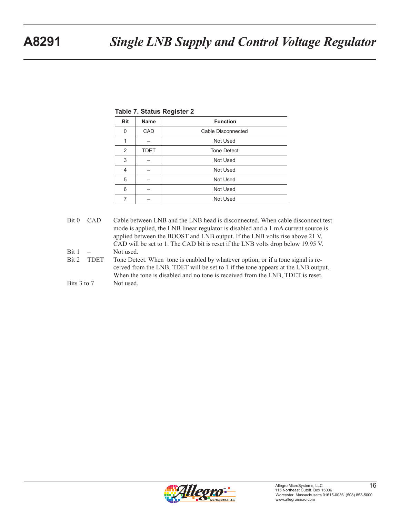|  |  |  | <b>Table 7. Status Register 2</b> |  |
|--|--|--|-----------------------------------|--|
|--|--|--|-----------------------------------|--|

| <b>Bit</b> | <b>Name</b> | <b>Function</b>    |
|------------|-------------|--------------------|
| 0          | CAD         | Cable Disconnected |
| 1          |             | Not Used           |
| 2          | <b>TDET</b> | <b>Tone Detect</b> |
| 3          |             | Not Used           |
| 4          |             | Not Used           |
| 5          |             | Not Used           |
| 6          |             | Not Used           |
| 7          |             | Not Used           |

- Bit 0 CAD Cable between LNB and the LNB head is disconnected. When cable disconnect test mode is applied, the LNB linear regulator is disabled and a 1 mA current source is applied between the BOOST and LNB output. If the LNB volts rise above 21 V, CAD will be set to 1. The CAD bit is reset if the LNB volts drop below 19.95 V. Bit 1 – Not used.
- Bit 2 TDET Tone Detect. When tone is enabled by whatever option, or if a tone signal is received from the LNB, TDET will be set to 1 if the tone appears at the LNB output. When the tone is disabled and no tone is received from the LNB, TDET is reset. Bits 3 to 7 Not used.

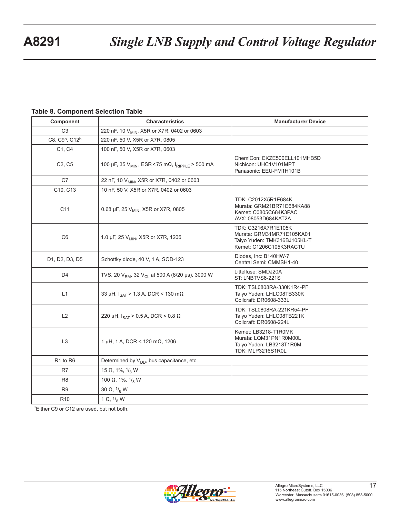#### **Table 8. Component Selection Table**

| Component                              | <b>Characteristics</b>                                                  | <b>Manufacturer Device</b>                                                                                  |
|----------------------------------------|-------------------------------------------------------------------------|-------------------------------------------------------------------------------------------------------------|
| C <sub>3</sub>                         | 220 nF, 10 V <sub>MIN</sub> , X5R or X7R, 0402 or 0603                  |                                                                                                             |
| C8, C9 <sup>b</sup> , C12 <sup>b</sup> | 220 nF, 50 V, X5R or X7R, 0805                                          |                                                                                                             |
| C1, C4                                 | 100 nF, 50 V, X5R or X7R, 0603                                          |                                                                                                             |
| C <sub>2</sub> , C <sub>5</sub>        | 100 μF, 35 V <sub>MIN</sub> , ESR < 75 mΩ, I <sub>RIPPLE</sub> > 500 mA | ChemiCon: EKZE500ELL101MHB5D<br>Nichicon: UHC1V101MPT<br>Panasonic: EEU-FM1H101B                            |
| C7                                     | 22 nF, 10 V <sub>MIN</sub> , X5R or X7R, 0402 or 0603                   |                                                                                                             |
| C10, C13                               | 10 nF, 50 V, X5R or X7R, 0402 or 0603                                   |                                                                                                             |
| C11                                    | 0.68 µF, 25 V <sub>MIN</sub> , X5R or X7R, 0805                         | TDK: C2012X5R1E684K<br>Murata: GRM21BR71E684KA88<br>Kemet: C0805C684K3PAC<br>AVX: 08053D684KAT2A            |
| C <sub>6</sub>                         | 1.0 µF, 25 V <sub>MIN</sub> , X5R or X7R, 1206                          | TDK: C3216X7R1E105K<br>Murata: GRM31MR71E105KA01<br>Taiyo Yuden: TMK316BJ105KL-T<br>Kemet: C1206C105K3RACTU |
| D1, D2, D3, D5                         | Schottky diode, 40 V, 1 A, SOD-123                                      | Diodes, Inc: B140HW-7<br>Central Semi: CMMSH1-40                                                            |
| D <sub>4</sub>                         | TVS, 20 $V_{RM}$ , 32 $V_{CL}$ at 500 A (8/20 µs), 3000 W               | Littelfuse: SMDJ20A<br>ST: LNBTVS6-221S                                                                     |
| L1                                     | 33 µH, $I_{\text{SAT}}$ > 1.3 A, DCR < 130 m $\Omega$                   | TDK: TSL0808RA-330K1R4-PF<br>Taiyo Yuden: LHLC08TB330K<br>Coilcraft: DR0608-333L                            |
| L2                                     | 220 μH, $I_{\text{SAT}}$ > 0.5 A, DCR < 0.8 Ω                           | TDK: TSL0808RA-221KR54-PF<br>Taiyo Yuden: LHLC08TB221K<br>Coilcraft: DR0608-224L                            |
| L <sub>3</sub>                         | $1 \mu H$ , 1 A, DCR < 120 m $\Omega$ , 1206                            | Kemet: LB3218-T1R0MK<br>Murata: LQM31PN1R0M00L<br>Taiyo Yuden: LB3218T1R0M<br>TDK: MLP3216S1R0L             |
| R <sub>1</sub> to R <sub>6</sub>       | Determined by V <sub>DD</sub> , bus capacitance, etc.                   |                                                                                                             |
| R7                                     | 15 $\Omega$ , 1%, $\frac{1}{8}$ W                                       |                                                                                                             |
| R <sub>8</sub>                         | 100 $\Omega$ , 1%, <sup>1</sup> / <sub>8</sub> W                        |                                                                                                             |
| R9                                     | 30 $\Omega$ , $\frac{1}{8}$ W                                           |                                                                                                             |
| R <sub>10</sub>                        | 1 $\Omega$ , $\frac{1}{8}$ W                                            |                                                                                                             |

\*Either C9 or C12 are used, but not both.

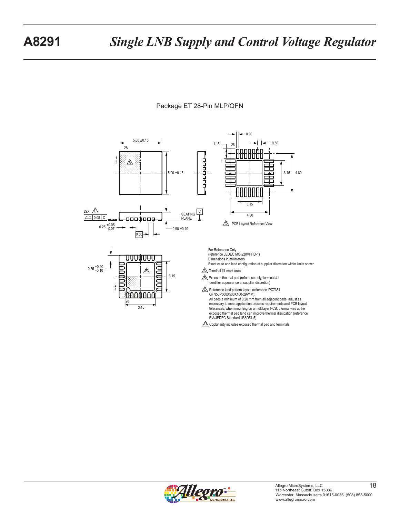



 $\bigtriangleup$  Coplanarity includes exposed thermal pad and terminals